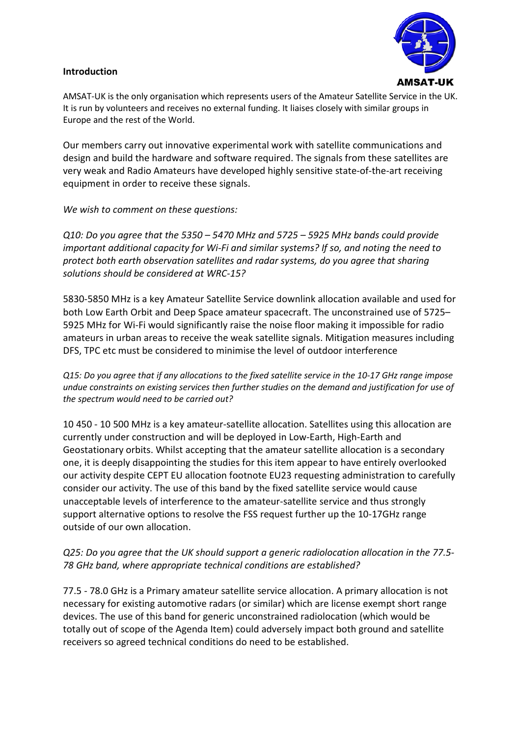### **Introduction**



AMSAT-UK is the only organisation which represents users of the Amateur Satellite Service in the UK. It is run by volunteers and receives no external funding. It liaises closely with similar groups in Europe and the rest of the World.

Our members carry out innovative experimental work with satellite communications and design and build the hardware and software required. The signals from these satellites are very weak and Radio Amateurs have developed highly sensitive state-of-the-art receiving equipment in order to receive these signals.

*We wish to comment on these questions:*

*Q10: Do you agree that the 5350 – 5470 MHz and 5725 – 5925 MHz bands could provide important additional capacity for Wi-Fi and similar systems? If so, and noting the need to protect both earth observation satellites and radar systems, do you agree that sharing solutions should be considered at WRC-15?*

5830-5850 MHz is a key Amateur Satellite Service downlink allocation available and used for both Low Earth Orbit and Deep Space amateur spacecraft. The unconstrained use of 5725– 5925 MHz for Wi-Fi would significantly raise the noise floor making it impossible for radio amateurs in urban areas to receive the weak satellite signals. Mitigation measures including DFS, TPC etc must be considered to minimise the level of outdoor interference

*Q15: Do you agree that if any allocations to the fixed satellite service in the 10-17 GHz range impose undue constraints on existing services then further studies on the demand and justification for use of the spectrum would need to be carried out?*

10 450 - 10 500 MHz is a key amateur-satellite allocation. Satellites using this allocation are currently under construction and will be deployed in Low-Earth, High-Earth and Geostationary orbits. Whilst accepting that the amateur satellite allocation is a secondary one, it is deeply disappointing the studies for this item appear to have entirely overlooked our activity despite CEPT EU allocation footnote EU23 requesting administration to carefully consider our activity. The use of this band by the fixed satellite service would cause unacceptable levels of interference to the amateur-satellite service and thus strongly support alternative options to resolve the FSS request further up the 10-17GHz range outside of our own allocation.

# *Q25: Do you agree that the UK should support a generic radiolocation allocation in the 77.5- 78 GHz band, where appropriate technical conditions are established?*

77.5 - 78.0 GHz is a Primary amateur satellite service allocation. A primary allocation is not necessary for existing automotive radars (or similar) which are license exempt short range devices. The use of this band for generic unconstrained radiolocation (which would be totally out of scope of the Agenda Item) could adversely impact both ground and satellite receivers so agreed technical conditions do need to be established.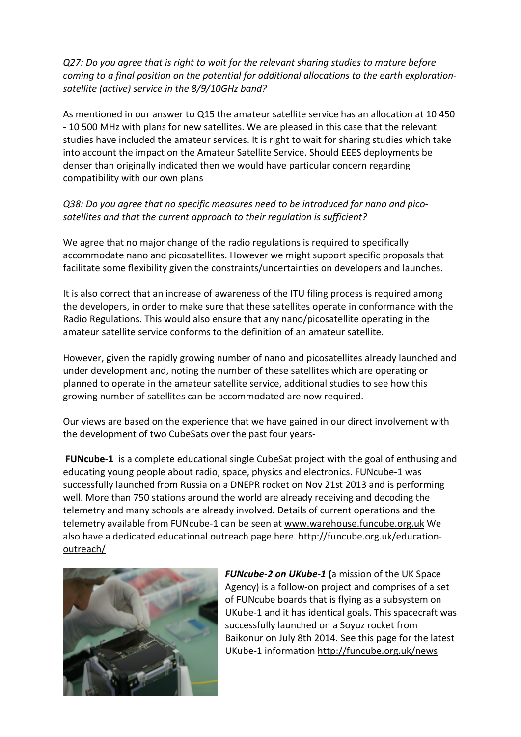*Q27: Do you agree that is right to wait for the relevant sharing studies to mature before coming to a final position on the potential for additional allocations to the earth explorationsatellite (active) service in the 8/9/10GHz band?*

As mentioned in our answer to Q15 the amateur satellite service has an allocation at 10 450 - 10 500 MHz with plans for new satellites. We are pleased in this case that the relevant studies have included the amateur services. It is right to wait for sharing studies which take into account the impact on the Amateur Satellite Service. Should EEES deployments be denser than originally indicated then we would have particular concern regarding compatibility with our own plans

## *Q38: Do you agree that no specific measures need to be introduced for nano and picosatellites and that the current approach to their regulation is sufficient?*

We agree that no major change of the radio regulations is required to specifically accommodate nano and picosatellites. However we might support specific proposals that facilitate some flexibility given the constraints/uncertainties on developers and launches.

It is also correct that an increase of awareness of the ITU filing process is required among the developers, in order to make sure that these satellites operate in conformance with the Radio Regulations. This would also ensure that any nano/picosatellite operating in the amateur satellite service conforms to the definition of an amateur satellite.

However, given the rapidly growing number of nano and picosatellites already launched and under development and, noting the number of these satellites which are operating or planned to operate in the amateur satellite service, additional studies to see how this growing number of satellites can be accommodated are now required.

Our views are based on the experience that we have gained in our direct involvement with the development of two CubeSats over the past four years-

**FUNcube-1** is a complete educational single CubeSat project with the goal of enthusing and educating young people about radio, space, physics and electronics. FUNcube-1 was successfully launched from Russia on a DNEPR rocket on Nov 21st 2013 and is performing well. More than 750 stations around the world are already receiving and decoding the telemetry and many schools are already involved. Details of current operations and the telemetry available from FUNcube-1 can be seen at [www.warehouse.funcube.org.uk](http://www.warehouse.funcube.org.uk/) We also have a dedicated educational outreach page here [http://funcube.org.uk/education](http://funcube.org.uk/education-outreach/)[outreach/](http://funcube.org.uk/education-outreach/)



*FUNcube-2 on UKube-1* **(**a mission of the UK Space Agency) is a follow-on project and comprises of a set of FUNcube boards that is flying as a subsystem on UKube-1 and it has identical goals. This spacecraft was successfully launched on a Soyuz rocket from Baikonur on July 8th 2014. See this page for the latest UKube-1 information<http://funcube.org.uk/news>